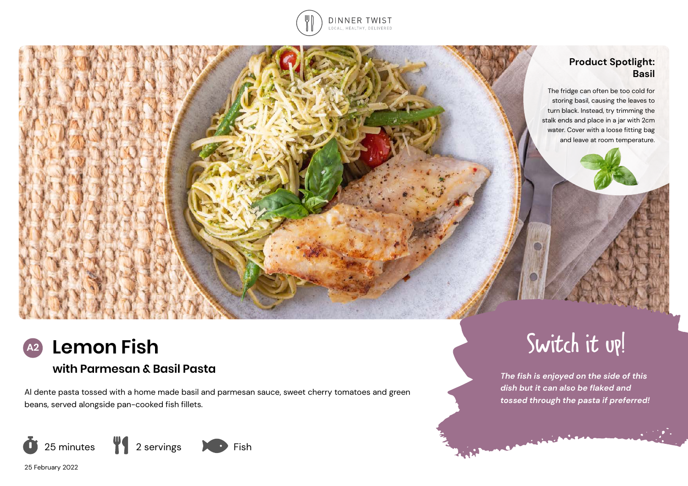

# **Product Spotlight: Basil**

The fridge can often be too cold for storing basil, causing the leaves to turn black. Instead, try trimming the stalk ends and place in a jar with 2cm water. Cover with a loose fitting bag and leave at room temperature.



# **with Parmesan & Basil Pasta**

Al dente pasta tossed with a home made basil and parmesan sauce, sweet cherry tomatoes and green beans, served alongside pan-cooked fish fillets.



25 February 2022



*The fish is enjoyed on the side of this dish but it can also be flaked and tossed through the pasta if preferred!*

<u>Construction</u>